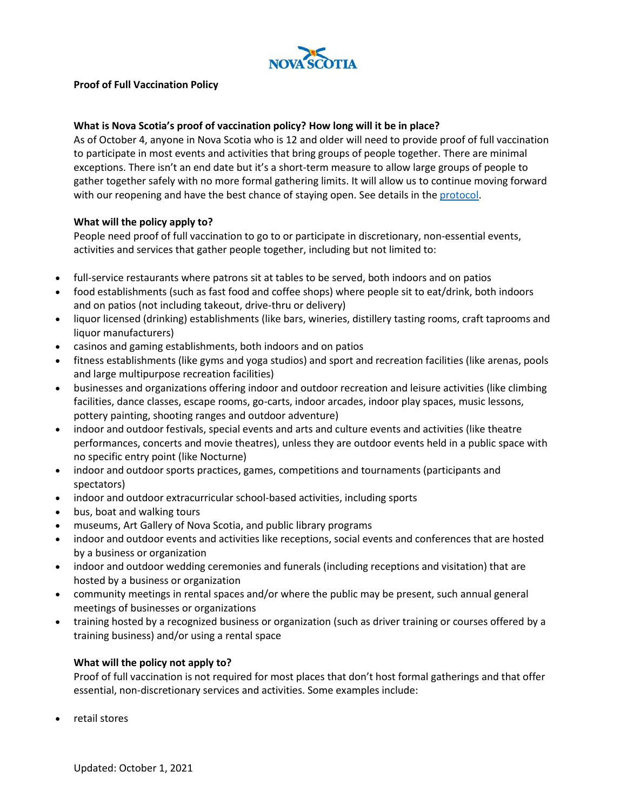

## **Proof of Full Vaccination Policy**

## **What is Nova Scotia's proof of vaccination policy? How long will it be in place?**

As of October 4, anyone in Nova Scotia who is 12 and older will need to provide proof of full vaccination to participate in most events and activities that bring groups of people together. There are minimal exceptions. There isn't an end date but it's a short-term measure to allow large groups of people to gather together safely with no more formal gathering limits. It will allow us to continue moving forward with our reopening and have the best chance of staying open. See details in th[e protocol.](https://novascotia.ca/coronavirus/docs/COVID-19-Protocol-for-proof-full-vaccination-events-activities-en.pdf)

### **What will the policy apply to?**

People need proof of full vaccination to go to or participate in discretionary, non-essential events, activities and services that gather people together, including but not limited to:

- full-service restaurants where patrons sit at tables to be served, both indoors and on patios
- food establishments (such as fast food and coffee shops) where people sit to eat/drink, both indoors and on patios (not including takeout, drive-thru or delivery)
- liquor licensed (drinking) establishments (like bars, wineries, distillery tasting rooms, craft taprooms and liquor manufacturers)
- casinos and gaming establishments, both indoors and on patios
- fitness establishments (like gyms and yoga studios) and sport and recreation facilities (like arenas, pools and large multipurpose recreation facilities)
- businesses and organizations offering indoor and outdoor recreation and leisure activities (like climbing facilities, dance classes, escape rooms, go-carts, indoor arcades, indoor play spaces, music lessons, pottery painting, shooting ranges and outdoor adventure)
- indoor and outdoor festivals, special events and arts and culture events and activities (like theatre performances, concerts and movie theatres), unless they are outdoor events held in a public space with no specific entry point (like Nocturne)
- indoor and outdoor sports practices, games, competitions and tournaments (participants and spectators)
- indoor and outdoor extracurricular school-based activities, including sports
- bus, boat and walking tours
- museums, Art Gallery of Nova Scotia, and public library programs
- indoor and outdoor events and activities like receptions, social events and conferences that are hosted by a business or organization
- indoor and outdoor wedding ceremonies and funerals (including receptions and visitation) that are hosted by a business or organization
- community meetings in rental spaces and/or where the public may be present, such annual general meetings of businesses or organizations
- training hosted by a recognized business or organization (such as driver training or courses offered by a training business) and/or using a rental space

#### **What will the policy not apply to?**

Proof of full vaccination is not required for most places that don't host formal gatherings and that offer essential, non-discretionary services and activities. Some examples include:

• retail stores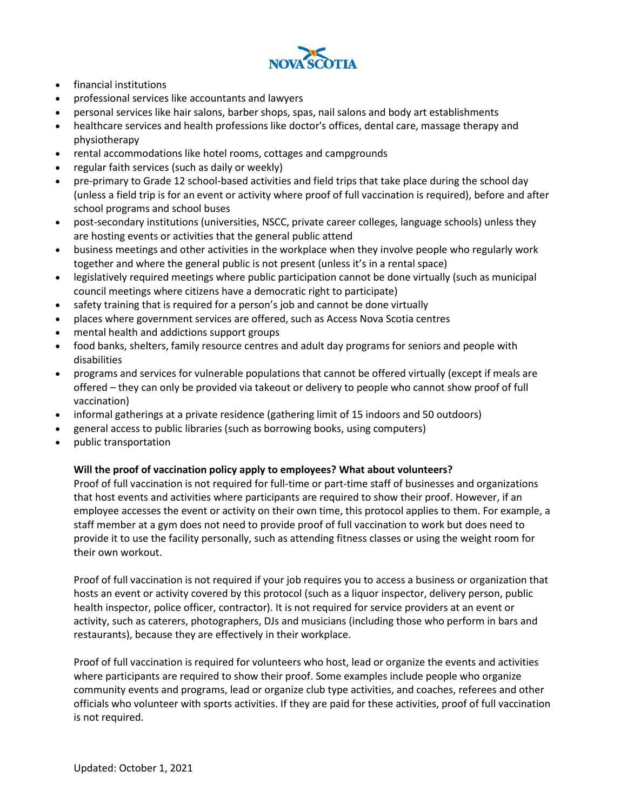

- financial institutions
- professional services like accountants and lawyers
- personal services like hair salons, barber shops, spas, nail salons and body art establishments
- healthcare services and health professions like doctor's offices, dental care, massage therapy and physiotherapy
- rental accommodations like hotel rooms, cottages and campgrounds
- regular faith services (such as daily or weekly)
- pre-primary to Grade 12 school-based activities and field trips that take place during the school day (unless a field trip is for an event or activity where proof of full vaccination is required), before and after school programs and school buses
- post-secondary institutions (universities, NSCC, private career colleges, language schools) unless they are hosting events or activities that the general public attend
- business meetings and other activities in the workplace when they involve people who regularly work together and where the general public is not present (unless it's in a rental space)
- legislatively required meetings where public participation cannot be done virtually (such as municipal council meetings where citizens have a democratic right to participate)
- safety training that is required for a person's job and cannot be done virtually
- places where government services are offered, such as Access Nova Scotia centres
- mental health and addictions support groups
- food banks, shelters, family resource centres and adult day programs for seniors and people with disabilities
- programs and services for vulnerable populations that cannot be offered virtually (except if meals are offered – they can only be provided via takeout or delivery to people who cannot show proof of full vaccination)
- informal gatherings at a private residence (gathering limit of 15 indoors and 50 outdoors)
- general access to public libraries (such as borrowing books, using computers)
- public transportation

#### **Will the proof of vaccination policy apply to employees? What about volunteers?**

Proof of full vaccination is not required for full-time or part-time staff of businesses and organizations that host events and activities where participants are required to show their proof. However, if an employee accesses the event or activity on their own time, this protocol applies to them. For example, a staff member at a gym does not need to provide proof of full vaccination to work but does need to provide it to use the facility personally, such as attending fitness classes or using the weight room for their own workout.

Proof of full vaccination is not required if your job requires you to access a business or organization that hosts an event or activity covered by this protocol (such as a liquor inspector, delivery person, public health inspector, police officer, contractor). It is not required for service providers at an event or activity, such as caterers, photographers, DJs and musicians (including those who perform in bars and restaurants), because they are effectively in their workplace.

Proof of full vaccination is required for volunteers who host, lead or organize the events and activities where participants are required to show their proof. Some examples include people who organize community events and programs, lead or organize club type activities, and coaches, referees and other officials who volunteer with sports activities. If they are paid for these activities, proof of full vaccination is not required.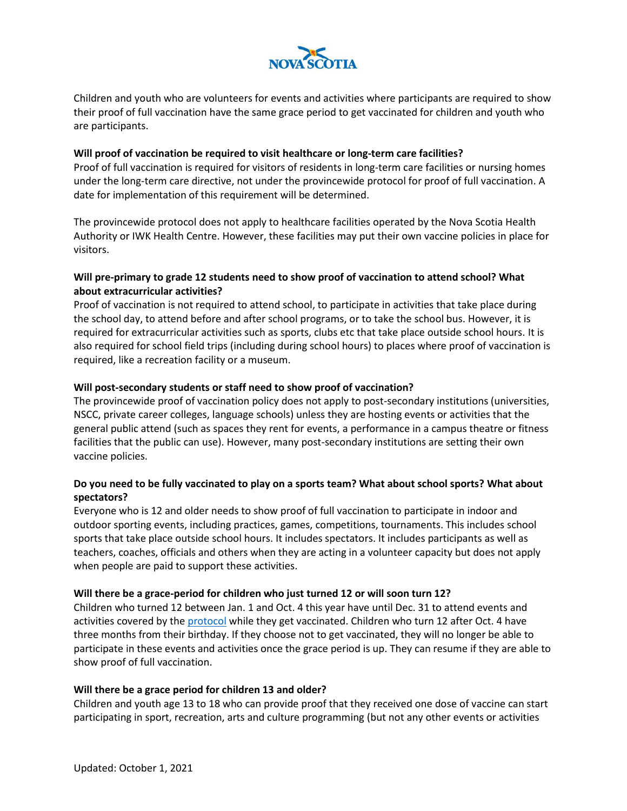

Children and youth who are volunteers for events and activities where participants are required to show their proof of full vaccination have the same grace period to get vaccinated for children and youth who are participants.

### **Will proof of vaccination be required to visit healthcare or long-term care facilities?**

Proof of full vaccination is required for visitors of residents in long-term care facilities or nursing homes under the long-term care directive, not under the provincewide protocol for proof of full vaccination. A date for implementation of this requirement will be determined.

The provincewide protocol does not apply to healthcare facilities operated by the Nova Scotia Health Authority or IWK Health Centre. However, these facilities may put their own vaccine policies in place for visitors.

## **Will pre-primary to grade 12 students need to show proof of vaccination to attend school? What about extracurricular activities?**

Proof of vaccination is not required to attend school, to participate in activities that take place during the school day, to attend before and after school programs, or to take the school bus. However, it is required for extracurricular activities such as sports, clubs etc that take place outside school hours. It is also required for school field trips (including during school hours) to places where proof of vaccination is required, like a recreation facility or a museum.

## **Will post-secondary students or staff need to show proof of vaccination?**

The provincewide proof of vaccination policy does not apply to post-secondary institutions (universities, NSCC, private career colleges, language schools) unless they are hosting events or activities that the general public attend (such as spaces they rent for events, a performance in a campus theatre or fitness facilities that the public can use). However, many post-secondary institutions are setting their own vaccine policies.

# **Do you need to be fully vaccinated to play on a sports team? What about school sports? What about spectators?**

Everyone who is 12 and older needs to show proof of full vaccination to participate in indoor and outdoor sporting events, including practices, games, competitions, tournaments. This includes school sports that take place outside school hours. It includes spectators. It includes participants as well as teachers, coaches, officials and others when they are acting in a volunteer capacity but does not apply when people are paid to support these activities.

#### **Will there be a grace-period for children who just turned 12 or will soon turn 12?**

Children who turned 12 between Jan. 1 and Oct. 4 this year have until Dec. 31 to attend events and activities covered by the [protocol](https://novascotia.ca/coronavirus/docs/COVID-19-Protocol-for-proof-full-vaccination-events-activities-en.pdf) while they get vaccinated. Children who turn 12 after Oct. 4 have three months from their birthday. If they choose not to get vaccinated, they will no longer be able to participate in these events and activities once the grace period is up. They can resume if they are able to show proof of full vaccination.

#### **Will there be a grace period for children 13 and older?**

Children and youth age 13 to 18 who can provide proof that they received one dose of vaccine can start participating in sport, recreation, arts and culture programming (but not any other events or activities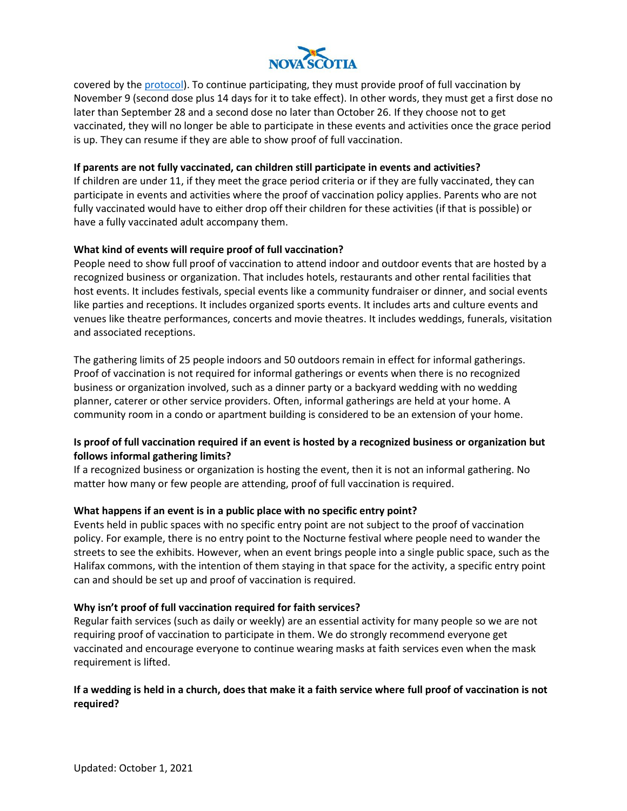

covered by the [protocol\)](https://novascotia.ca/coronavirus/docs/COVID-19-Protocol-for-proof-full-vaccination-events-activities-en.pdf). To continue participating, they must provide proof of full vaccination by November 9 (second dose plus 14 days for it to take effect). In other words, they must get a first dose no later than September 28 and a second dose no later than October 26. If they choose not to get vaccinated, they will no longer be able to participate in these events and activities once the grace period is up. They can resume if they are able to show proof of full vaccination.

### **If parents are not fully vaccinated, can children still participate in events and activities?**

If children are under 11, if they meet the grace period criteria or if they are fully vaccinated, they can participate in events and activities where the proof of vaccination policy applies. Parents who are not fully vaccinated would have to either drop off their children for these activities (if that is possible) or have a fully vaccinated adult accompany them.

### **What kind of events will require proof of full vaccination?**

People need to show full proof of vaccination to attend indoor and outdoor events that are hosted by a recognized business or organization. That includes hotels, restaurants and other rental facilities that host events. It includes festivals, special events like a community fundraiser or dinner, and social events like parties and receptions. It includes organized sports events. It includes arts and culture events and venues like theatre performances, concerts and movie theatres. It includes weddings, funerals, visitation and associated receptions.

The gathering limits of 25 people indoors and 50 outdoors remain in effect for informal gatherings. Proof of vaccination is not required for informal gatherings or events when there is no recognized business or organization involved, such as a dinner party or a backyard wedding with no wedding planner, caterer or other service providers. Often, informal gatherings are held at your home. A community room in a condo or apartment building is considered to be an extension of your home.

# **Is proof of full vaccination required if an event is hosted by a recognized business or organization but follows informal gathering limits?**

If a recognized business or organization is hosting the event, then it is not an informal gathering. No matter how many or few people are attending, proof of full vaccination is required.

#### **What happens if an event is in a public place with no specific entry point?**

Events held in public spaces with no specific entry point are not subject to the proof of vaccination policy. For example, there is no entry point to the Nocturne festival where people need to wander the streets to see the exhibits. However, when an event brings people into a single public space, such as the Halifax commons, with the intention of them staying in that space for the activity, a specific entry point can and should be set up and proof of vaccination is required.

#### **Why isn't proof of full vaccination required for faith services?**

Regular faith services (such as daily or weekly) are an essential activity for many people so we are not requiring proof of vaccination to participate in them. We do strongly recommend everyone get vaccinated and encourage everyone to continue wearing masks at faith services even when the mask requirement is lifted.

## **If a wedding is held in a church, does that make it a faith service where full proof of vaccination is not required?**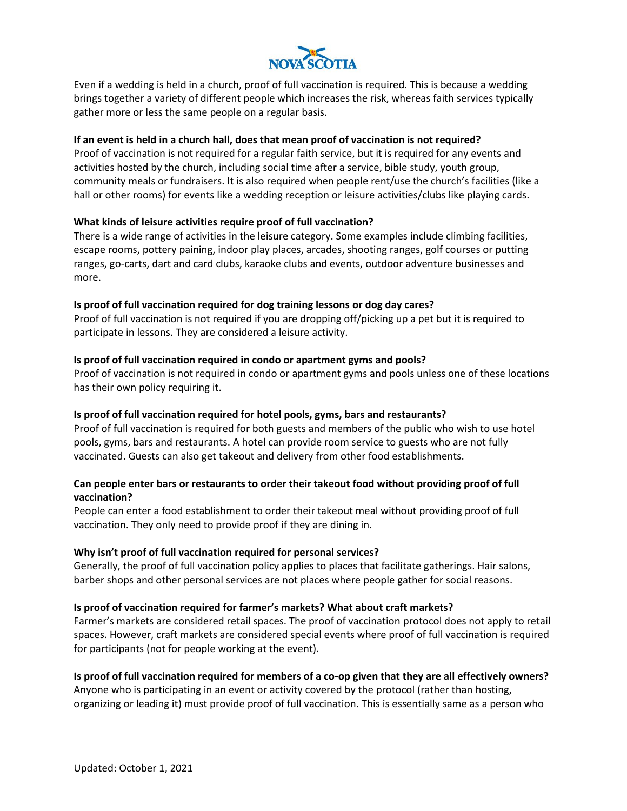

Even if a wedding is held in a church, proof of full vaccination is required. This is because a wedding brings together a variety of different people which increases the risk, whereas faith services typically gather more or less the same people on a regular basis.

### **If an event is held in a church hall, does that mean proof of vaccination is not required?**

Proof of vaccination is not required for a regular faith service, but it is required for any events and activities hosted by the church, including social time after a service, bible study, youth group, community meals or fundraisers. It is also required when people rent/use the church's facilities (like a hall or other rooms) for events like a wedding reception or leisure activities/clubs like playing cards.

## **What kinds of leisure activities require proof of full vaccination?**

There is a wide range of activities in the leisure category. Some examples include climbing facilities, escape rooms, pottery paining, indoor play places, arcades, shooting ranges, golf courses or putting ranges, go-carts, dart and card clubs, karaoke clubs and events, outdoor adventure businesses and more.

### **Is proof of full vaccination required for dog training lessons or dog day cares?**

Proof of full vaccination is not required if you are dropping off/picking up a pet but it is required to participate in lessons. They are considered a leisure activity.

### **Is proof of full vaccination required in condo or apartment gyms and pools?**

Proof of vaccination is not required in condo or apartment gyms and pools unless one of these locations has their own policy requiring it.

## **Is proof of full vaccination required for hotel pools, gyms, bars and restaurants?**

Proof of full vaccination is required for both guests and members of the public who wish to use hotel pools, gyms, bars and restaurants. A hotel can provide room service to guests who are not fully vaccinated. Guests can also get takeout and delivery from other food establishments.

## **Can people enter bars or restaurants to order their takeout food without providing proof of full vaccination?**

People can enter a food establishment to order their takeout meal without providing proof of full vaccination. They only need to provide proof if they are dining in.

## **Why isn't proof of full vaccination required for personal services?**

Generally, the proof of full vaccination policy applies to places that facilitate gatherings. Hair salons, barber shops and other personal services are not places where people gather for social reasons.

#### **Is proof of vaccination required for farmer's markets? What about craft markets?**

Farmer's markets are considered retail spaces. The proof of vaccination protocol does not apply to retail spaces. However, craft markets are considered special events where proof of full vaccination is required for participants (not for people working at the event).

## **Is proof of full vaccination required for members of a co-op given that they are all effectively owners?**

Anyone who is participating in an event or activity covered by the protocol (rather than hosting, organizing or leading it) must provide proof of full vaccination. This is essentially same as a person who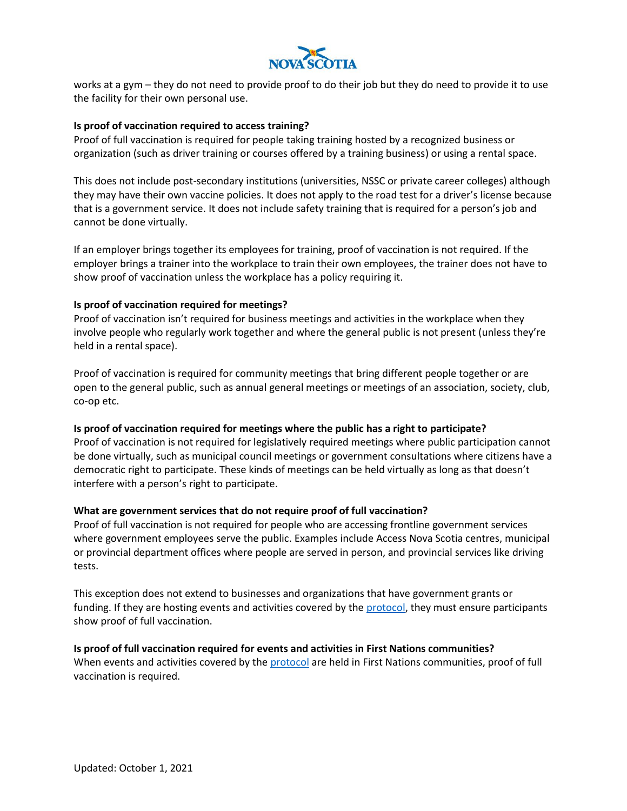

works at a gym – they do not need to provide proof to do their job but they do need to provide it to use the facility for their own personal use.

#### **Is proof of vaccination required to access training?**

Proof of full vaccination is required for people taking training hosted by a recognized business or organization (such as driver training or courses offered by a training business) or using a rental space.

This does not include post-secondary institutions (universities, NSSC or private career colleges) although they may have their own vaccine policies. It does not apply to the road test for a driver's license because that is a government service. It does not include safety training that is required for a person's job and cannot be done virtually.

If an employer brings together its employees for training, proof of vaccination is not required. If the employer brings a trainer into the workplace to train their own employees, the trainer does not have to show proof of vaccination unless the workplace has a policy requiring it.

### **Is proof of vaccination required for meetings?**

Proof of vaccination isn't required for business meetings and activities in the workplace when they involve people who regularly work together and where the general public is not present (unless they're held in a rental space).

Proof of vaccination is required for community meetings that bring different people together or are open to the general public, such as annual general meetings or meetings of an association, society, club, co-op etc.

#### **Is proof of vaccination required for meetings where the public has a right to participate?**

Proof of vaccination is not required for legislatively required meetings where public participation cannot be done virtually, such as municipal council meetings or government consultations where citizens have a democratic right to participate. These kinds of meetings can be held virtually as long as that doesn't interfere with a person's right to participate.

#### **What are government services that do not require proof of full vaccination?**

Proof of full vaccination is not required for people who are accessing frontline government services where government employees serve the public. Examples include Access Nova Scotia centres, municipal or provincial department offices where people are served in person, and provincial services like driving tests.

This exception does not extend to businesses and organizations that have government grants or funding. If they are hosting events and activities covered by the [protocol,](https://novascotia.ca/coronavirus/docs/COVID-19-Protocol-for-proof-full-vaccination-events-activities-en.pdf) they must ensure participants show proof of full vaccination.

#### **Is proof of full vaccination required for events and activities in First Nations communities?**

When events and activities covered by the [protocol](https://novascotia.ca/coronavirus/docs/COVID-19-Protocol-for-proof-full-vaccination-events-activities-en.pdf) are held in First Nations communities, proof of full vaccination is required.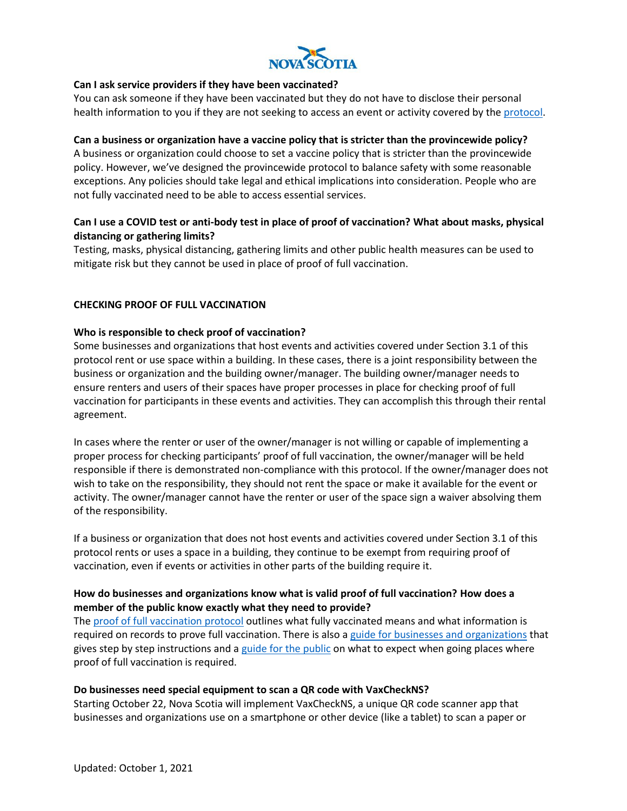

### **Can I ask service providers if they have been vaccinated?**

You can ask someone if they have been vaccinated but they do not have to disclose their personal health information to you if they are not seeking to access an event or activity covered by the [protocol.](https://novascotia.ca/coronavirus/docs/COVID-19-Protocol-for-proof-full-vaccination-events-activities-en.pdf)

### **Can a business or organization have a vaccine policy that is stricter than the provincewide policy?**

A business or organization could choose to set a vaccine policy that is stricter than the provincewide policy. However, we've designed the provincewide protocol to balance safety with some reasonable exceptions. Any policies should take legal and ethical implications into consideration. People who are not fully vaccinated need to be able to access essential services.

# **Can I use a COVID test or anti-body test in place of proof of vaccination? What about masks, physical distancing or gathering limits?**

Testing, masks, physical distancing, gathering limits and other public health measures can be used to mitigate risk but they cannot be used in place of proof of full vaccination.

### **CHECKING PROOF OF FULL VACCINATION**

### **Who is responsible to check proof of vaccination?**

Some businesses and organizations that host events and activities covered under Section 3.1 of this protocol rent or use space within a building. In these cases, there is a joint responsibility between the business or organization and the building owner/manager. The building owner/manager needs to ensure renters and users of their spaces have proper processes in place for checking proof of full vaccination for participants in these events and activities. They can accomplish this through their rental agreement.

In cases where the renter or user of the owner/manager is not willing or capable of implementing a proper process for checking participants' proof of full vaccination, the owner/manager will be held responsible if there is demonstrated non-compliance with this protocol. If the owner/manager does not wish to take on the responsibility, they should not rent the space or make it available for the event or activity. The owner/manager cannot have the renter or user of the space sign a waiver absolving them of the responsibility.

If a business or organization that does not host events and activities covered under Section 3.1 of this protocol rents or uses a space in a building, they continue to be exempt from requiring proof of vaccination, even if events or activities in other parts of the building require it.

## **How do businesses and organizations know what is valid proof of full vaccination? How does a member of the public know exactly what they need to provide?**

The [proof of full vaccination protocol](https://novascotia.ca/coronavirus/docs/COVID-19-Protocol-for-proof-full-vaccination-events-activities-en.pdf) outlines what fully vaccinated means and what information is required on records to prove full vaccination. There is also a [guide for businesses and organizations](https://novascotia.ca/coronavirus/docs/proof-full-vaccination-guide-businesses-en.pdf) that gives step by step instructions and a [guide for the public](https://novascotia.ca/coronavirus/docs/proof-full-vaccination-guide-events-activities-en.pdf) on what to expect when going places where proof of full vaccination is required.

#### **Do businesses need special equipment to scan a QR code with VaxCheckNS?**

Starting October 22, Nova Scotia will implement VaxCheckNS, a unique QR code scanner app that businesses and organizations use on a smartphone or other device (like a tablet) to scan a paper or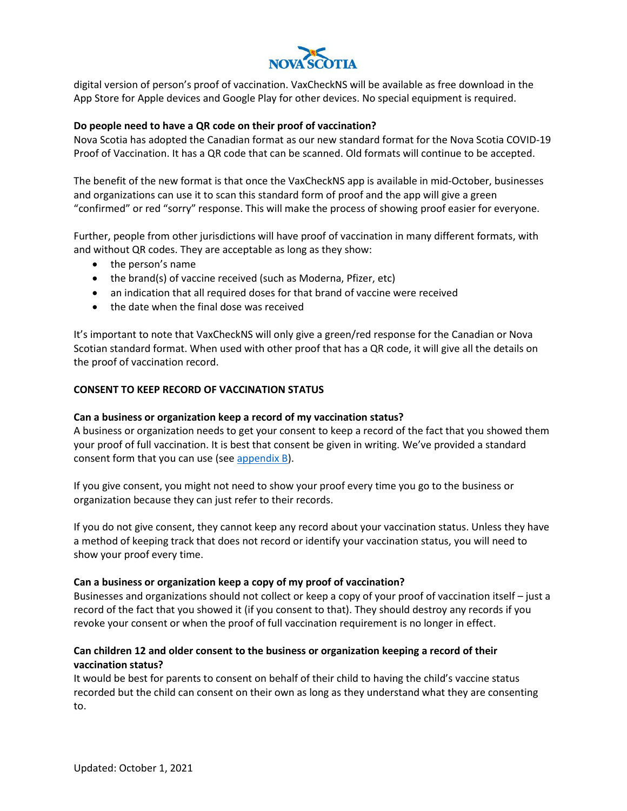

digital version of person's proof of vaccination. VaxCheckNS will be available as free download in the App Store for Apple devices and Google Play for other devices. No special equipment is required.

### **Do people need to have a QR code on their proof of vaccination?**

Nova Scotia has adopted the Canadian format as our new standard format for the Nova Scotia COVID-19 Proof of Vaccination. It has a QR code that can be scanned. Old formats will continue to be accepted.

The benefit of the new format is that once the VaxCheckNS app is available in mid-October, businesses and organizations can use it to scan this standard form of proof and the app will give a green "confirmed" or red "sorry" response. This will make the process of showing proof easier for everyone.

Further, people from other jurisdictions will have proof of vaccination in many different formats, with and without QR codes. They are acceptable as long as they show:

- the person's name
- the brand(s) of vaccine received (such as Moderna, Pfizer, etc)
- an indication that all required doses for that brand of vaccine were received
- the date when the final dose was received

It's important to note that VaxCheckNS will only give a green/red response for the Canadian or Nova Scotian standard format. When used with other proof that has a QR code, it will give all the details on the proof of vaccination record.

#### **CONSENT TO KEEP RECORD OF VACCINATION STATUS**

#### **Can a business or organization keep a record of my vaccination status?**

A business or organization needs to get your consent to keep a record of the fact that you showed them your proof of full vaccination. It is best that consent be given in writing. We've provided a standard consent form that you can use (se[e appendix B\)](https://novascotia.ca/coronavirus/docs/proof-full-vaccination-guide-businesses-en.pdf).

If you give consent, you might not need to show your proof every time you go to the business or organization because they can just refer to their records.

If you do not give consent, they cannot keep any record about your vaccination status. Unless they have a method of keeping track that does not record or identify your vaccination status, you will need to show your proof every time.

#### **Can a business or organization keep a copy of my proof of vaccination?**

Businesses and organizations should not collect or keep a copy of your proof of vaccination itself – just a record of the fact that you showed it (if you consent to that). They should destroy any records if you revoke your consent or when the proof of full vaccination requirement is no longer in effect.

## **Can children 12 and older consent to the business or organization keeping a record of their vaccination status?**

It would be best for parents to consent on behalf of their child to having the child's vaccine status recorded but the child can consent on their own as long as they understand what they are consenting to.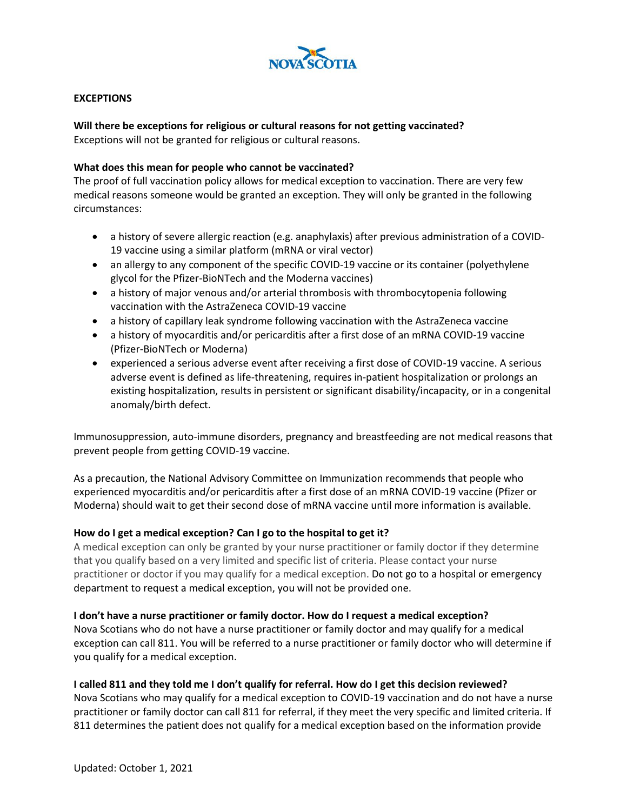

### **EXCEPTIONS**

### **Will there be exceptions for religious or cultural reasons for not getting vaccinated?**

Exceptions will not be granted for religious or cultural reasons.

### **What does this mean for people who cannot be vaccinated?**

The proof of full vaccination policy allows for medical exception to vaccination. There are very few medical reasons someone would be granted an exception. They will only be granted in the following circumstances:

- a history of severe allergic reaction (e.g. anaphylaxis) after previous administration of a COVID-19 vaccine using a similar platform (mRNA or viral vector)
- an allergy to any component of the specific COVID-19 vaccine or its container (polyethylene glycol for the Pfizer-BioNTech and the Moderna vaccines)
- a history of major venous and/or arterial thrombosis with thrombocytopenia following vaccination with the AstraZeneca COVID-19 vaccine
- a history of capillary leak syndrome following vaccination with the AstraZeneca vaccine
- a history of myocarditis and/or pericarditis after a first dose of an mRNA COVID-19 vaccine (Pfizer-BioNTech or Moderna)
- experienced a serious adverse event after receiving a first dose of COVID-19 vaccine. A serious adverse event is defined as life-threatening, requires in-patient hospitalization or prolongs an existing hospitalization, results in persistent or significant disability/incapacity, or in a congenital anomaly/birth defect.

Immunosuppression, auto-immune disorders, pregnancy and breastfeeding are not medical reasons that prevent people from getting COVID-19 vaccine.

As a precaution, the National Advisory Committee on Immunization recommends that people who experienced myocarditis and/or pericarditis after a first dose of an mRNA COVID-19 vaccine (Pfizer or Moderna) should wait to get their second dose of mRNA vaccine until more information is available.

## **How do I get a medical exception? Can I go to the hospital to get it?**

A medical exception can only be granted by your nurse practitioner or family doctor if they determine that you qualify based on a very limited and specific list of criteria. Please contact your nurse practitioner or doctor if you may qualify for a medical exception. Do not go to a hospital or emergency department to request a medical exception, you will not be provided one.

#### **I don't have a nurse practitioner or family doctor. How do I request a medical exception?**

Nova Scotians who do not have a nurse practitioner or family doctor and may qualify for a medical exception can call 811. You will be referred to a nurse practitioner or family doctor who will determine if you qualify for a medical exception.

## **I called 811 and they told me I don't qualify for referral. How do I get this decision reviewed?**

Nova Scotians who may qualify for a medical exception to COVID-19 vaccination and do not have a nurse practitioner or family doctor can call 811 for referral, if they meet the very specific and limited criteria. If 811 determines the patient does not qualify for a medical exception based on the information provide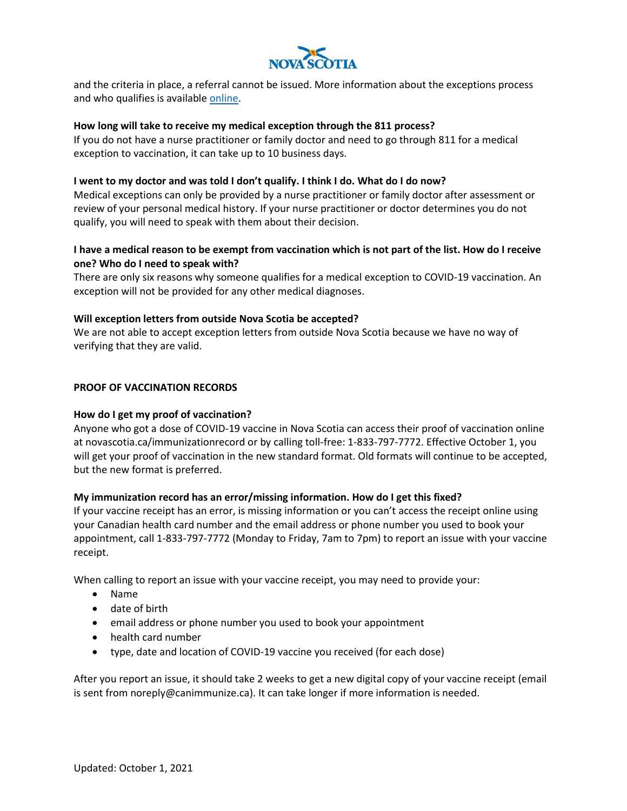

and the criteria in place, a referral cannot be issued. More information about the exceptions process and who qualifies is availabl[e online.](https://novascotia.ca/coronavirus/proof-of-full-vaccination-policy/)

### **How long will take to receive my medical exception through the 811 process?**

If you do not have a nurse practitioner or family doctor and need to go through 811 for a medical exception to vaccination, it can take up to 10 business days.

### **I went to my doctor and was told I don't qualify. I think I do. What do I do now?**

Medical exceptions can only be provided by a nurse practitioner or family doctor after assessment or review of your personal medical history. If your nurse practitioner or doctor determines you do not qualify, you will need to speak with them about their decision.

## **I have a medical reason to be exempt from vaccination which is not part of the list. How do I receive one? Who do I need to speak with?**

There are only six reasons why someone qualifies for a medical exception to COVID-19 vaccination. An exception will not be provided for any other medical diagnoses.

### **Will exception letters from outside Nova Scotia be accepted?**

We are not able to accept exception letters from outside Nova Scotia because we have no way of verifying that they are valid.

### **PROOF OF VACCINATION RECORDS**

## **How do I get my proof of vaccination?**

Anyone who got a dose of COVID-19 vaccine in Nova Scotia can access their proof of vaccination online at novascotia.ca/immunizationrecord or by calling toll-free: 1-833-797-7772. Effective October 1, you will get your proof of vaccination in the new standard format. Old formats will continue to be accepted, but the new format is preferred.

## **My immunization record has an error/missing information. How do I get this fixed?**

If your vaccine receipt has an error, is missing information or you can't access the receipt online using your Canadian health card number and the email address or phone number you used to book your appointment, call 1-833-797-7772 (Monday to Friday, 7am to 7pm) to report an issue with your vaccine receipt.

When calling to report an issue with your vaccine receipt, you may need to provide your:

- Name
- date of birth
- email address or phone number you used to book your appointment
- health card number
- type, date and location of COVID-19 vaccine you received (for each dose)

After you report an issue, it should take 2 weeks to get a new digital copy of your vaccine receipt (email is sent from noreply@canimmunize.ca). It can take longer if more information is needed.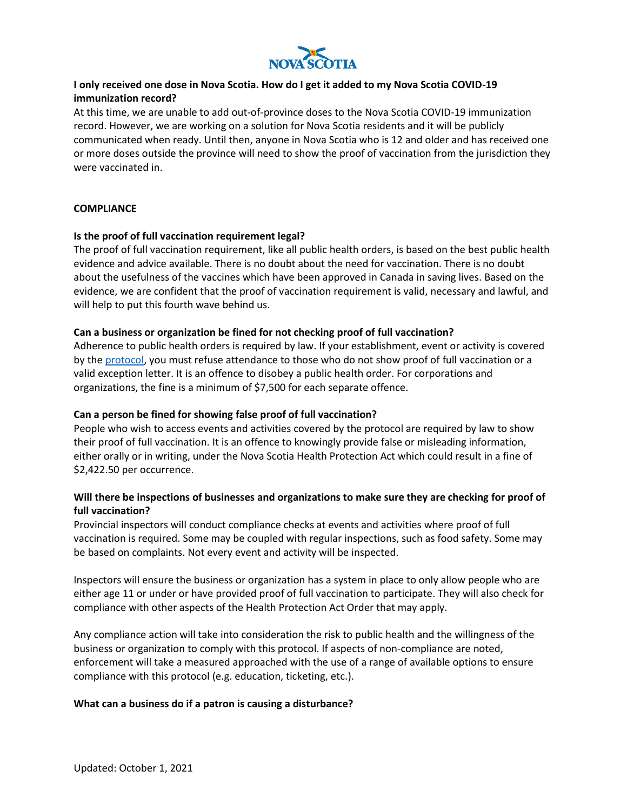

# **I only received one dose in Nova Scotia. How do I get it added to my Nova Scotia COVID-19 immunization record?**

At this time, we are unable to add out-of-province doses to the Nova Scotia COVID-19 immunization record. However, we are working on a solution for Nova Scotia residents and it will be publicly communicated when ready. Until then, anyone in Nova Scotia who is 12 and older and has received one or more doses outside the province will need to show the proof of vaccination from the jurisdiction they were vaccinated in.

### **COMPLIANCE**

### **Is the proof of full vaccination requirement legal?**

The proof of full vaccination requirement, like all public health orders, is based on the best public health evidence and advice available. There is no doubt about the need for vaccination. There is no doubt about the usefulness of the vaccines which have been approved in Canada in saving lives. Based on the evidence, we are confident that the proof of vaccination requirement is valid, necessary and lawful, and will help to put this fourth wave behind us.

### **Can a business or organization be fined for not checking proof of full vaccination?**

Adherence to public health orders is required by law. If your establishment, event or activity is covered by th[e protocol,](https://novascotia.ca/coronavirus/docs/COVID-19-Protocol-for-proof-full-vaccination-events-activities-en.pdf) you must refuse attendance to those who do not show proof of full vaccination or a valid exception letter. It is an offence to disobey a public health order. For corporations and organizations, the fine is a minimum of \$7,500 for each separate offence.

## **Can a person be fined for showing false proof of full vaccination?**

People who wish to access events and activities covered by the protocol are required by law to show their proof of full vaccination. It is an offence to knowingly provide false or misleading information, either orally or in writing, under the Nova Scotia Health Protection Act which could result in a fine of \$2,422.50 per occurrence.

# **Will there be inspections of businesses and organizations to make sure they are checking for proof of full vaccination?**

Provincial inspectors will conduct compliance checks at events and activities where proof of full vaccination is required. Some may be coupled with regular inspections, such as food safety. Some may be based on complaints. Not every event and activity will be inspected.

Inspectors will ensure the business or organization has a system in place to only allow people who are either age 11 or under or have provided proof of full vaccination to participate. They will also check for compliance with other aspects of the Health Protection Act Order that may apply.

Any compliance action will take into consideration the risk to public health and the willingness of the business or organization to comply with this protocol. If aspects of non-compliance are noted, enforcement will take a measured approached with the use of a range of available options to ensure compliance with this protocol (e.g. education, ticketing, etc.).

#### **What can a business do if a patron is causing a disturbance?**